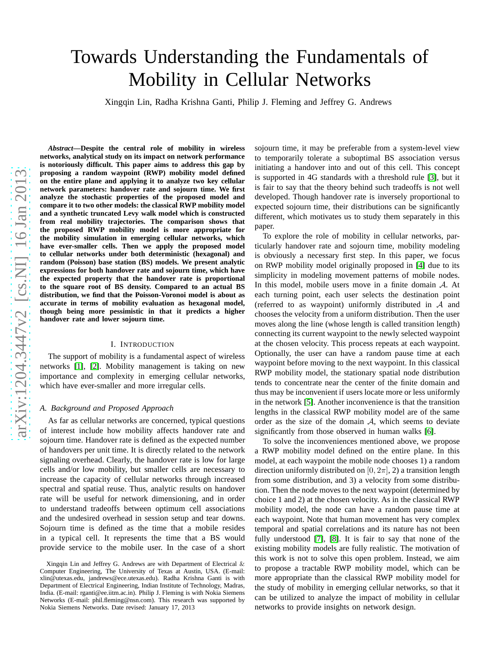# Towards Understanding the Fundamentals of Mobility in Cellular Networks

Xingqin Lin, Radha Krishna Ganti, Philip J. Fleming and Jeffrey G. Andrews

*Abstract***—Despite the central role of mobility in wireless networks, analytical study on its impact on network performance is notoriously difficult. This paper aims to address this gap by proposing a random waypoint (RWP) mobility model defined on the entire plane and applying it to analyze two key cellula r network parameters: handover rate and sojourn time. We first analyze the stochastic properties of the proposed model and compare it to two other models: the classical RWP mobility model and a synthetic truncated Levy walk model which is constructed from real mobility trajectories. The comparison shows that the proposed RWP mobility model is more appropriate for the mobility simulation in emerging cellular networks, which have ever-smaller cells. Then we apply the proposed model to cellular networks under both deterministic (hexagonal) and random (Poisson) base station (BS) models. We present analytic expressions for both handover rate and sojourn time, which have the expected property that the handover rate is proportiona l to the square root of BS density. Compared to an actual BS distribution, we find that the Poisson-Voronoi model is about as accurate in terms of mobility evaluation as hexagonal model , though being more pessimistic in that it predicts a higher handover rate and lower sojourn time.**

#### I. INTRODUCTION

The support of mobility is a fundamental aspect of wireless networks [\[1\]](#page-11-0), [\[2\]](#page-11-1). Mobility management is taking on new importance and complexity in emerging cellular networks, which have ever-smaller and more irregular cells.

# *A. Background and Proposed Approach*

As far as cellular networks are concerned, typical question s of interest include how mobility affects handover rate and sojourn time. Handover rate is defined as the expected number of handovers per unit time. It is directly related to the network signaling overhead. Clearly, the handover rate is low for large cells and/or low mobility, but smaller cells are necessary t o increase the capacity of cellular networks through increased spectral and spatial reuse. Thus, analytic results on handover rate will be useful for network dimensioning, and in order to understand tradeoffs between optimum cell associations and the undesired overhead in session setup and tear downs. Sojourn time is defined as the time that a mobile resides in a typical cell. It represents the time that a BS would provide service to the mobile user. In the case of a short

sojourn time, it may be preferable from a system-level view to temporarily tolerate a suboptimal BS association versus initiating a handover into and out of this cell. This concept is supported in 4G standards with a threshold rule [\[3\]](#page-12-0), but it is fair to say that the theory behind such tradeoffs is not wel l developed. Though handover rate is inversely proportional to expected sojourn time, their distributions can be significantly different, which motivates us to study them separately in this paper.

To explore the role of mobility in cellular networks, particularly handover rate and sojourn time, mobility modeling is obviously a necessary first step. In this paper, we focus on RWP mobility model originally proposed in [\[4\]](#page-12-1) due to its simplicity in modeling movement patterns of mobile nodes. In this model, mobile users move in a finite domain A. At each turning point, each user selects the destination point (referred to as waypoint) uniformly distributed in A and chooses the velocity from a uniform distribution. Then the user moves along the line (whose length is called transition length) connecting its current waypoint to the newly selected waypoint at the chosen velocity. This process repeats at each waypoint. Optionally, the user can have a random pause time at each waypoint before moving to the next waypoint. In this classical RWP mobility model, the stationary spatial node distribution tends to concentrate near the center of the finite domain and thus may be inconvenient if users locate more or less uniformly in the network [\[5\]](#page-12-2). Another inconvenience is that the transition lengths in the classical RWP mobility model are of the same order as the size of the domain  $A$ , which seems to deviate significantly from those observed in human walks [\[6\]](#page-12-3).

To solve the inconveniences mentioned above, we propose a RWP mobility model defined on the entire plane. In this model, at each waypoint the mobile node chooses 1) a random direction uniformly distributed on  $[0, 2\pi]$ , 2) a transition length from some distribution, and 3) a velocity from some distribu tion. Then the node moves to the next waypoint (determined by choice 1 and 2) at the chosen velocity. As in the classical RWP mobility model, the node can have a random pause time at each waypoint. Note that human movement has very complex temporal and spatial correlations and its nature has not bee n fully understood [\[7\]](#page-12-4), [\[8\]](#page-12-5). It is fair to say that none of the existing mobility models are fully realistic. The motivation of this work is not to solve this open problem. Instead, we aim to propose a tractable RWP mobility model, which can be more appropriate than the classical RWP mobility model for the study of mobility in emerging cellular networks, so that it can be utilized to analyze the impact of mobility in cellular networks to provide insights on network design.

Xingqin Lin and Jeffrey G. Andrews are with Department of Electrical & Computer Engineering, The University of Texas at Austin, USA. (E-mail: xlin@utexas.edu, jandrews@ece.utexas.edu). Radha Krishna Ganti is with Department of Electrical Engineering, Indian Institute of Technology, Madras, India. (E-mail: rganti@ee.iitm.ac.in). Philip J. Fleming is with Nokia Siemens Networks (E-mail: phil.fleming@nsn.com). This research was supported by Nokia Siemens Networks. Date revised: January 17, 2013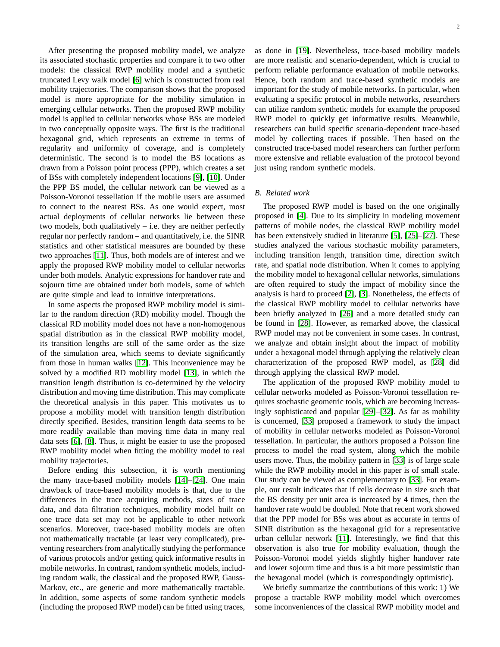After presenting the proposed mobility model, we analyze its associated stochastic properties and compare it to two other models: the classical RWP mobility model and a synthetic truncated Levy walk model [\[6\]](#page-12-3) which is constructed from real mobility trajectories. The comparison shows that the proposed model is more appropriate for the mobility simulation in emerging cellular networks. Then the proposed RWP mobility model is applied to cellular networks whose BSs are modeled in two conceptually opposite ways. The first is the traditional hexagonal grid, which represents an extreme in terms of regularity and uniformity of coverage, and is completely deterministic. The second is to model the BS locations as drawn from a Poisson point process (PPP), which creates a set of BSs with completely independent locations [\[9\]](#page-12-6), [\[10\]](#page-12-7). Under the PPP BS model, the cellular network can be viewed as a Poisson-Voronoi tessellation if the mobile users are assumed to connect to the nearest BSs. As one would expect, most actual deployments of cellular networks lie between these two models, both qualitatively  $-$  i.e. they are neither perfectly regular nor perfectly random – and quantitatively, i.e. the SINR statistics and other statistical measures are bounded by these two approaches [\[11\]](#page-12-8). Thus, both models are of interest and we apply the proposed RWP mobility model to cellular networks under both models. Analytic expressions for handover rate and sojourn time are obtained under both models, some of which are quite simple and lead to intuitive interpretations.

In some aspects the proposed RWP mobility model is similar to the random direction (RD) mobility model. Though the classical RD mobility model does not have a non-homogenous spatial distribution as in the classical RWP mobility model, its transition lengths are still of the same order as the size of the simulation area, which seems to deviate significantly from those in human walks [\[12\]](#page-12-9). This inconvenience may be solved by a modified RD mobility model [\[13\]](#page-12-10), in which the transition length distribution is co-determined by the velocity distribution and moving time distribution. This may complicate the theoretical analysis in this paper. This motivates us to propose a mobility model with transition length distribution directly specified. Besides, transition length data seems to be more readily available than moving time data in many real data sets [\[6\]](#page-12-3), [\[8\]](#page-12-5). Thus, it might be easier to use the proposed RWP mobility model when fitting the mobility model to real mobility trajectories.

Before ending this subsection, it is worth mentioning the many trace-based mobility models [\[14\]](#page-12-11)–[\[24\]](#page-12-12). One main drawback of trace-based mobility models is that, due to the differences in the trace acquiring methods, sizes of trace data, and data filtration techniques, mobility model built on one trace data set may not be applicable to other network scenarios. Moreover, trace-based mobility models are often not mathematically tractable (at least very complicated), preventing researchers from analytically studying the performance of various protocols and/or getting quick informative results in mobile networks. In contrast, random synthetic models, including random walk, the classical and the proposed RWP, Gauss-Markov, etc., are generic and more mathematically tractable. In addition, some aspects of some random synthetic models (including the proposed RWP model) can be fitted using traces,

2

as done in [\[19\]](#page-12-13). Nevertheless, trace-based mobility models are more realistic and scenario-dependent, which is crucial to perform reliable performance evaluation of mobile networks. Hence, both random and trace-based synthetic models are important for the study of mobile networks. In particular, when evaluating a specific protocol in mobile networks, researchers can utilize random synthetic models for example the proposed RWP model to quickly get informative results. Meanwhile, researchers can build specific scenario-dependent trace-based model by collecting traces if possible. Then based on the constructed trace-based model researchers can further perform more extensive and reliable evaluation of the protocol beyond just using random synthetic models.

# *B. Related work*

The proposed RWP model is based on the one originally proposed in [\[4\]](#page-12-1). Due to its simplicity in modeling movement patterns of mobile nodes, the classical RWP mobility model has been extensively studied in literature [\[5\]](#page-12-2), [\[25\]](#page-12-14)–[\[27\]](#page-12-15). These studies analyzed the various stochastic mobility parameters, including transition length, transition time, direction switch rate, and spatial node distribution. When it comes to applying the mobility model to hexagonal cellular networks, simulations are often required to study the impact of mobility since the analysis is hard to proceed [\[2\]](#page-11-1), [\[3\]](#page-12-0). Nonetheless, the effects of the classical RWP mobility model to cellular networks have been briefly analyzed in [\[26\]](#page-12-16) and a more detailed study can be found in [\[28\]](#page-12-17). However, as remarked above, the classical RWP model may not be convenient in some cases. In contrast, we analyze and obtain insight about the impact of mobility under a hexagonal model through applying the relatively clean characterization of the proposed RWP model, as [\[28\]](#page-12-17) did through applying the classical RWP model.

The application of the proposed RWP mobility model to cellular networks modeled as Poisson-Voronoi tessellation requires stochastic geometric tools, which are becoming increasingly sophisticated and popular [\[29\]](#page-12-18)–[\[32\]](#page-12-19). As far as mobility is concerned, [\[33\]](#page-12-20) proposed a framework to study the impact of mobility in cellular networks modeled as Poisson-Voronoi tessellation. In particular, the authors proposed a Poisson line process to model the road system, along which the mobile users move. Thus, the mobility pattern in [\[33\]](#page-12-20) is of large scale while the RWP mobility model in this paper is of small scale. Our study can be viewed as complementary to [\[33\]](#page-12-20). For example, our result indicates that if cells decrease in size such that the BS density per unit area is increased by 4 times, then the handover rate would be doubled. Note that recent work showed that the PPP model for BSs was about as accurate in terms of SINR distribution as the hexagonal grid for a representative urban cellular network [\[11\]](#page-12-8). Interestingly, we find that this observation is also true for mobility evaluation, though the Poisson-Voronoi model yields slightly higher handover rate and lower sojourn time and thus is a bit more pessimistic than the hexagonal model (which is correspondingly optimistic).

We briefly summarize the contributions of this work: 1) We propose a tractable RWP mobility model which overcomes some inconveniences of the classical RWP mobility model and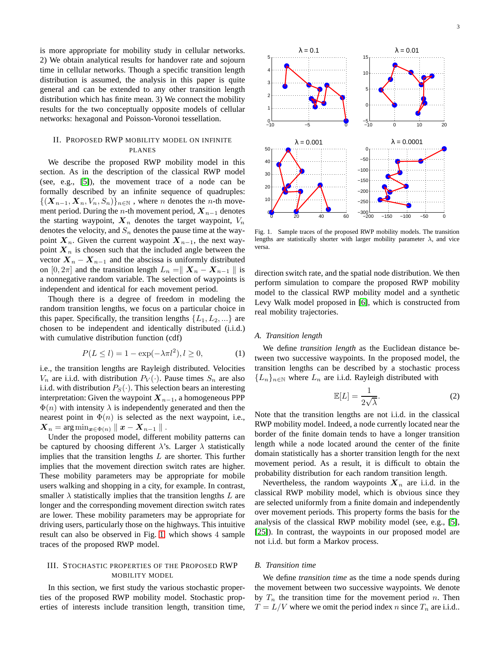is more appropriate for mobility study in cellular networks. 2) We obtain analytical results for handover rate and sojourn time in cellular networks. Though a specific transition length distribution is assumed, the analysis in this paper is quite general and can be extended to any other transition length distribution which has finite mean. 3) We connect the mobility results for the two conceptually opposite models of cellular networks: hexagonal and Poisson-Voronoi tessellation.

# II. PROPOSED RWP MOBILITY MODEL ON INFINITE PLANES

We describe the proposed RWP mobility model in this section. As in the description of the classical RWP model (see, e.g., [\[5\]](#page-12-2)), the movement trace of a node can be formally described by an infinite sequence of quadruples:  ${(X_{n-1}, X_n, V_n, S_n)}_{n \in \mathbb{N}}$ , where n denotes the n-th movement period. During the *n*-th movement period,  $X_{n-1}$  denotes the starting waypoint,  $X_n$  denotes the target waypoint,  $V_n$ denotes the velocity, and  $S_n$  denotes the pause time at the waypoint  $X_n$ . Given the current waypoint  $X_{n-1}$ , the next waypoint  $X_n$  is chosen such that the included angle between the vector  $X_n - X_{n-1}$  and the abscissa is uniformly distributed on [0, 2 $\pi$ ] and the transition length  $L_n = || \mathbf{X}_n - \mathbf{X}_{n-1} ||$  is a nonnegative random variable. The selection of waypoints is independent and identical for each movement period.

Though there is a degree of freedom in modeling the random transition lengths, we focus on a particular choice in this paper. Specifically, the transition lengths  $\{L_1, L_2, ...\}$  are chosen to be independent and identically distributed (i.i.d.) with cumulative distribution function (cdf)

$$
P(L \le l) = 1 - \exp(-\lambda \pi l^2), l \ge 0,
$$
 (1)

i.e., the transition lengths are Rayleigh distributed. Velocities  $V_n$  are i.i.d. with distribution  $P_V(\cdot)$ . Pause times  $S_n$  are also i.i.d. with distribution  $P_S(\cdot)$ . This selection bears an interesting interpretation: Given the waypoint  $X_{n-1}$ , a homogeneous PPP  $\Phi(n)$  with intensity  $\lambda$  is independently generated and then the nearest point in  $\Phi(n)$  is selected as the next waypoint, i.e.,  $\boldsymbol{X}_n = \arg \min_{\boldsymbol{x} \in \Phi(n)} \parallel \boldsymbol{x} - \boldsymbol{X}_{n-1} \parallel .$ 

Under the proposed model, different mobility patterns can be captured by choosing different  $\lambda$ 's. Larger  $\lambda$  statistically implies that the transition lengths  $L$  are shorter. This further implies that the movement direction switch rates are higher. These mobility parameters may be appropriate for mobile users walking and shopping in a city, for example. In contrast, smaller  $\lambda$  statistically implies that the transition lengths L are longer and the corresponding movement direction switch rates are lower. These mobility parameters may be appropriate for driving users, particularly those on the highways. This intuitive result can also be observed in Fig. [1,](#page-2-0) which shows 4 sample traces of the proposed RWP model.

# <span id="page-2-2"></span>III. STOCHASTIC PROPERTIES OF THE PROPOSED RWP MOBILITY MODEL

In this section, we first study the various stochastic properties of the proposed RWP mobility model. Stochastic properties of interests include transition length, transition time,



<span id="page-2-0"></span>Fig. 1. Sample traces of the proposed RWP mobility models. The transition lengths are statistically shorter with larger mobility parameter  $\lambda$ , and vice versa.

direction switch rate, and the spatial node distribution. We then perform simulation to compare the proposed RWP mobility model to the classical RWP mobility model and a synthetic Levy Walk model proposed in [\[6\]](#page-12-3), which is constructed from real mobility trajectories.

# *A. Transition length*

We define *transition length* as the Euclidean distance between two successive waypoints. In the proposed model, the transition lengths can be described by a stochastic process  ${L_n}_{n \in \mathbb{N}}$  where  $L_n$  are i.i.d. Rayleigh distributed with

$$
\mathbb{E}[L] = \frac{1}{2\sqrt{\lambda}}.\tag{2}
$$

Note that the transition lengths are not i.i.d. in the classical RWP mobility model. Indeed, a node currently located near the border of the finite domain tends to have a longer transition length while a node located around the center of the finite domain statistically has a shorter transition length for the next movement period. As a result, it is difficult to obtain the probability distribution for each random transition length.

Nevertheless, the random waypoints  $X_n$  are i.i.d. in the classical RWP mobility model, which is obvious since they are selected uniformly from a finite domain and independently over movement periods. This property forms the basis for the analysis of the classical RWP mobility model (see, e.g., [\[5\]](#page-12-2), [\[25\]](#page-12-14)). In contrast, the waypoints in our proposed model are not i.i.d. but form a Markov process.

## <span id="page-2-1"></span>*B. Transition time*

We define *transition time* as the time a node spends during the movement between two successive waypoints. We denote by  $T_n$  the transition time for the movement period n. Then  $T = L/V$  where we omit the period index n since  $T_n$  are i.i.d..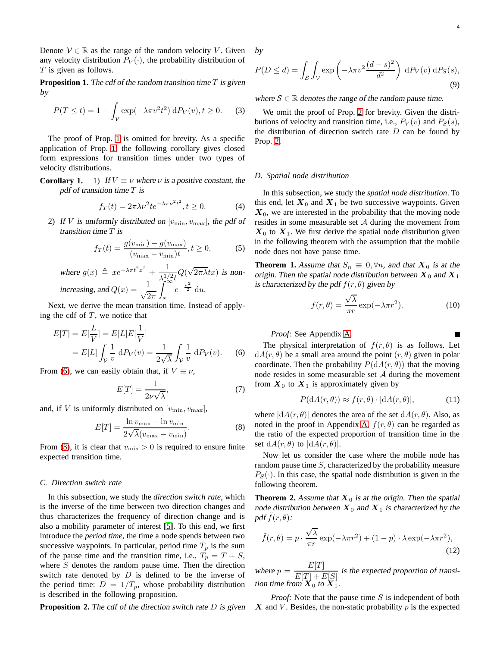Denote  $V \in \mathbb{R}$  as the range of the random velocity V. Given any velocity distribution  $P_V(\cdot)$ , the probability distribution of  $T$  is given as follows.

<span id="page-3-0"></span>**Proposition 1.** The cdf of the random transition time  $T$  is given by

$$
P(T \le t) = 1 - \int_{\mathcal{V}} \exp(-\lambda \pi v^2 t^2) \, dP_V(v), t \ge 0.
$$
 (3)

The proof of Prop. [1](#page-3-0) is omitted for brevity. As a specific application of Prop. [1,](#page-3-0) the following corollary gives closed form expressions for transition times under two types of velocity distributions.

**Corollary 1.** 1) If  $V \equiv \nu$  where  $\nu$  is a positive constant, the pdf of transition time  $T$  is

$$
f_T(t) = 2\pi \lambda \nu^2 t e^{-\lambda \pi \nu^2 t^2}, t \ge 0.
$$
 (4)

2) If V is uniformly distributed on  $[v_{\min}, v_{\max}]$ , the pdf of transition time T is

$$
f_T(t) = \frac{g(v_{\min}) - g(v_{\max})}{(v_{\max} - v_{\min})t}, t \ge 0,
$$
 (5)

where 
$$
g(x) \triangleq xe^{-\lambda \pi t^2 x^2} + \frac{1}{\lambda^{1/2} t} Q(\sqrt{2\pi \lambda} tx)
$$
 is non-  
increasing, and  $Q(x) = \frac{1}{\sqrt{2\pi}} \int_x^{\infty} e^{-\frac{u^2}{2}} du$ .

Next, we derive the mean transition time. Instead of applying the cdf of  $T$ , we notice that

$$
E[T] = E[\frac{L}{V}] = E[L]E[\frac{1}{V}]
$$
  
=  $E[L] \int_{V} \frac{1}{v} dP_V(v) = \frac{1}{2\sqrt{\lambda}} \int_{V} \frac{1}{v} dP_V(v).$  (6)

From [\(6\)](#page-3-1), we can easily obtain that, if  $V \equiv \nu$ ,

$$
E[T] = \frac{1}{2\nu\sqrt{\lambda}},\tag{7}
$$

and, if V is uniformly distributed on  $[v_{\min}, v_{\max}]$ ,

$$
E[T] = \frac{\ln v_{\text{max}} - \ln v_{\text{min}}}{2\sqrt{\lambda}(v_{\text{max}} - v_{\text{min}})}.
$$
\n(8)

From ([8](#page-3-2)), it is clear that  $v_{\text{min}} > 0$  is required to ensure finite expected transition time.

## *C. Direction switch rate*

In this subsection, we study the *direction switch rate*, which is the inverse of the time between two direction changes and thus characterizes the frequency of direction change and is also a mobility parameter of interest [\[5\]](#page-12-2). To this end, we first introduce the *period time*, the time a node spends between two successive waypoints. In particular, period time  $T_p$  is the sum of the pause time and the transition time, i.e.,  $T_p = T + S$ , where  $S$  denotes the random pause time. Then the direction switch rate denoted by  $D$  is defined to be the inverse of the period time:  $D = 1/T_p$ , whose probability distribution is described in the following proposition.

**Proposition 2.** The cdf of the direction switch rate D is given

by

<span id="page-3-3"></span>
$$
P(D \le d) = \int_{\mathcal{S}} \int_{\mathcal{V}} \exp\left(-\lambda \pi v^2 \frac{(d-s)^2}{d^2}\right) dP_V(v) dP_S(s),\tag{9}
$$

where  $S \in \mathbb{R}$  denotes the range of the random pause time.

We omit the proof of Prop. [2](#page-3-3) for brevity. Given the distributions of velocity and transition time, i.e.,  $P_V(v)$  and  $P_S(s)$ , the distribution of direction switch rate  $D$  can be found by Prop. [2.](#page-3-3)

#### *D. Spatial node distribution*

In this subsection, we study the *spatial node distribution*. To this end, let  $X_0$  and  $X_1$  be two successive waypoints. Given  $X_0$ , we are interested in the probability that the moving node resides in some measurable set  $A$  during the movement from  $X_0$  to  $X_1$ . We first derive the spatial node distribution given in the following theorem with the assumption that the mobile node does not have pause time.

**Theorem 1.** Assume that  $S_n \equiv 0, \forall n$ , and that  $X_0$  is at the origin. Then the spatial node distribution between  $X_0$  and  $X_1$ is characterized by the pdf  $f(r, \theta)$  given by

<span id="page-3-4"></span>
$$
f(r,\theta) = \frac{\sqrt{\lambda}}{\pi r} \exp(-\lambda \pi r^2).
$$
 (10)

*Proof:* See Appendix [A.](#page-9-0)

<span id="page-3-1"></span>The physical interpretation of  $f(r, \theta)$  is as follows. Let  $dA(r, \theta)$  be a small area around the point  $(r, \theta)$  given in polar coordinate. Then the probability  $P(dA(r, \theta))$  that the moving node resides in some measurable set  $A$  during the movement from  $X_0$  to  $X_1$  is approximately given by

$$
P(\mathrm{d}A(r,\theta)) \approx f(r,\theta) \cdot |\mathrm{d}A(r,\theta)|,\tag{11}
$$

<span id="page-3-2"></span>where  $|dA(r, \theta)|$  denotes the area of the set  $dA(r, \theta)$ . Also, as noted in the proof in Appendix [A,](#page-9-0)  $f(r, \theta)$  can be regarded as the ratio of the expected proportion of transition time in the set  $dA(r, \theta)$  to  $|dA(r, \theta)|$ .

Now let us consider the case where the mobile node has random pause time S, characterized by the probability measure  $P_S(\cdot)$ . In this case, the spatial node distribution is given in the following theorem.

**Theorem 2.** Assume that  $X_0$  is at the origin. Then the spatial node distribution between  $X_0$  and  $X_1$  is characterized by the pdf  $\tilde{f}(r,\theta)$ :

<span id="page-3-5"></span>
$$
\tilde{f}(r,\theta) = p \cdot \frac{\sqrt{\lambda}}{\pi r} \exp(-\lambda \pi r^2) + (1-p) \cdot \lambda \exp(-\lambda \pi r^2),\tag{12}
$$

where  $p = \frac{E[T]}{E[T]+I}$  $\frac{E[T] + E[S]}{E[T] + E[S]}$  is the expected proportion of transition time from  $\boldsymbol{X}_0$  to  $\boldsymbol{X}_1$ .

*Proof:* Note that the pause time S is independent of both  $X$  and V. Besides, the non-static probability p is the expected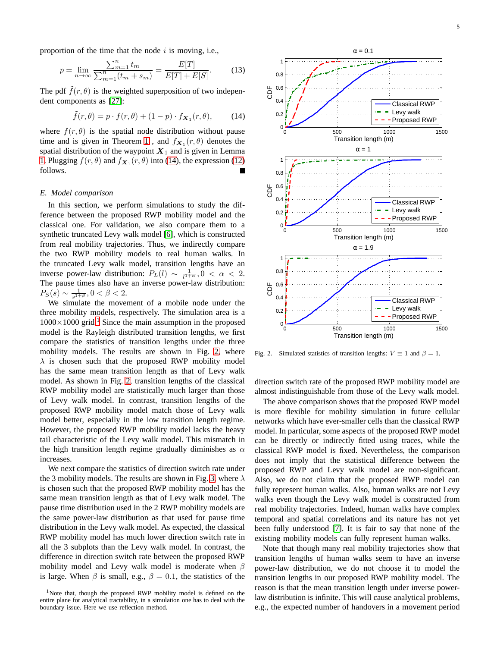proportion of the time that the node  $i$  is moving, i.e.,

$$
p = \lim_{n \to \infty} \frac{\sum_{m=1}^{n} t_m}{\sum_{m=1}^{n} (t_m + s_m)} = \frac{E[T]}{E[T] + E[S]}.
$$
 (13)

The pdf  $\tilde{f}(r, \theta)$  is the weighted superposition of two independent components as [\[27\]](#page-12-15):

$$
\tilde{f}(r,\theta) = p \cdot f(r,\theta) + (1-p) \cdot f_{\mathbf{X}_1}(r,\theta),\tag{14}
$$

where  $f(r, \theta)$  is the spatial node distribution without pause time and is given in Theorem [1](#page-3-4), and  $f_{\mathbf{X}_1}(r,\theta)$  denotes the spatial distribution of the waypoint  $X_1$  and is given in Lemma [1.](#page-10-0) Plugging  $f(r, \theta)$  and  $f_{\mathbf{X}_1}(r, \theta)$  into [\(14\)](#page-4-0), the expression [\(12\)](#page-3-5) follows.

#### *E. Model comparison*

In this section, we perform simulations to study the difference between the proposed RWP mobility model and the classical one. For validation, we also compare them to a synthetic truncated Levy walk model [\[6\]](#page-12-3), which is constructed from real mobility trajectories. Thus, we indirectly compare the two RWP mobility models to real human walks. In the truncated Levy walk model, transition lengths have an inverse power-law distribution:  $P_L(l) \sim \frac{1}{l^{1+\alpha}}, 0 < \alpha < 2.$ The pause times also have an inverse power-law distribution:  $P_S(s) \sim \frac{1}{s^{1+\beta}}, 0 < \beta < 2.$ 

We simulate the movement of a mobile node under the three mobility models, respectively. The simulation area is a  $1000\times1000$  grid.<sup>1</sup> Since the main assumption in the proposed model is the Rayleigh distributed transition lengths, we first compare the statistics of transition lengths under the three mobility models. The results are shown in Fig. [2,](#page-4-1) where  $\lambda$  is chosen such that the proposed RWP mobility model has the same mean transition length as that of Levy walk model. As shown in Fig. [2,](#page-4-1) transition lengths of the classical RWP mobility model are statistically much larger than those of Levy walk model. In contrast, transition lengths of the proposed RWP mobility model match those of Levy walk model better, especially in the low transition length regime. However, the proposed RWP mobility model lacks the heavy tail characteristic of the Levy walk model. This mismatch in the high transition length regime gradually diminishes as  $\alpha$ increases.

We next compare the statistics of direction switch rate under the 3 mobility models. The results are shown in Fig. [3,](#page-5-0) where  $\lambda$ is chosen such that the proposed RWP mobility model has the same mean transition length as that of Levy walk model. The pause time distribution used in the 2 RWP mobility models are the same power-law distribution as that used for pause time distribution in the Levy walk model. As expected, the classical RWP mobility model has much lower direction switch rate in all the 3 subplots than the Levy walk model. In contrast, the difference in direction switch rate between the proposed RWP mobility model and Levy walk model is moderate when  $\beta$ is large. When  $\beta$  is small, e.g.,  $\beta = 0.1$ , the statistics of the

<span id="page-4-0"></span>

<span id="page-4-1"></span>Fig. 2. Simulated statistics of transition lengths:  $V \equiv 1$  and  $\beta = 1$ .

direction switch rate of the proposed RWP mobility model are almost indistinguishable from those of the Levy walk model.

The above comparison shows that the proposed RWP model is more flexible for mobility simulation in future cellular networks which have ever-smaller cells than the classical RWP model. In particular, some aspects of the proposed RWP model can be directly or indirectly fitted using traces, while the classical RWP model is fixed. Nevertheless, the comparison does not imply that the statistical difference between the proposed RWP and Levy walk model are non-significant. Also, we do not claim that the proposed RWP model can fully represent human walks. Also, human walks are not Levy walks even though the Levy walk model is constructed from real mobility trajectories. Indeed, human walks have complex temporal and spatial correlations and its nature has not yet been fully understood [\[7\]](#page-12-4). It is fair to say that none of the existing mobility models can fully represent human walks.

Note that though many real mobility trajectories show that transition lengths of human walks seem to have an inverse power-law distribution, we do not choose it to model the transition lengths in our proposed RWP mobility model. The reason is that the mean transition length under inverse powerlaw distribution is infinite. This will cause analytical problems, e.g., the expected number of handovers in a movement period

<sup>&</sup>lt;sup>1</sup>Note that, though the proposed RWP mobility model is defined on the entire plane for analytical tractability, in a simulation one has to deal with the boundary issue. Here we use reflection method.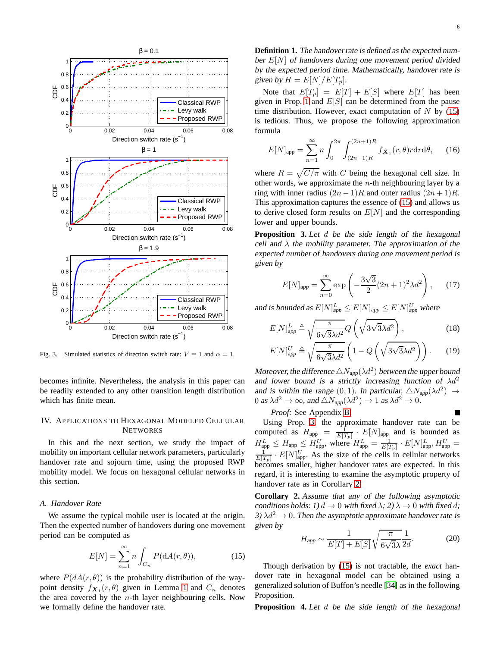

<span id="page-5-0"></span>Fig. 3. Simulated statistics of direction switch rate:  $V \equiv 1$  and  $\alpha = 1$ .

becomes infinite. Nevertheless, the analysis in this paper can be readily extended to any other transition length distribution which has finite mean.

## IV. APPLICATIONS TO HEXAGONAL MODELED CELLULAR **NETWORKS**

In this and the next section, we study the impact of mobility on important cellular network parameters, particularly handover rate and sojourn time, using the proposed RWP mobility model. We focus on hexagonal cellular networks in this section.

# *A. Handover Rate*

We assume the typical mobile user is located at the origin. Then the expected number of handovers during one movement period can be computed as

$$
E[N] = \sum_{n=1}^{\infty} n \int_{C_n} P(\mathrm{d}A(r,\theta)),\tag{15}
$$

where  $P(dA(r, \theta))$  is the probability distribution of the waypoint density  $f_{\mathbf{X}_1}(r,\theta)$  given in Lemma [1](#page-10-0) and  $C_n$  denotes the area covered by the  $n$ -th layer neighbouring cells. Now we formally define the handover rate.

**Definition 1.** The handover rate is defined as the expected number  $E[N]$  of handovers during one movement period divided by the expected period time. Mathematically, handover rate is given by  $H = E[N]/E[T_p]$ .

Note that  $E[T_p] = E[T] + E[S]$  where  $E[T]$  has been given in Prop. [1](#page-3-0) and  $E[S]$  can be determined from the pause time distribution. However, exact computation of  $N$  by [\(15\)](#page-5-1) is tedious. Thus, we propose the following approximation formula

$$
E[N]_{app} = \sum_{n=1}^{\infty} n \int_0^{2\pi} \int_{(2n-1)R}^{(2n+1)R} f_{\mathbf{X}_1}(r,\theta) r \, dr \, d\theta,\qquad(16)
$$

where  $R = \sqrt{C/\pi}$  with C being the hexagonal cell size. In other words, we approximate the  $n$ -th neighbouring layer by a ring with inner radius  $(2n-1)R$  and outer radius  $(2n+1)R$ . This approximation captures the essence of [\(15\)](#page-5-1) and allows us to derive closed form results on  $E[N]$  and the corresponding lower and upper bounds.

**Proposition 3.** Let d be the side length of the hexagonal cell and  $\lambda$  the mobility parameter. The approximation of the expected number of handovers during one movement period is given by

$$
E[N]_{app} = \sum_{n=0}^{\infty} \exp\left(-\frac{3\sqrt{3}}{2}(2n+1)^2\lambda d^2\right), \quad (17)
$$

and is bounded as  $E[N]^L_{app}\leq E[N]_{app}\leq E[N]^U_{app}$  where

$$
E[N]_{app}^{L} \triangleq \sqrt{\frac{\pi}{6\sqrt{3}\lambda d^2}} Q\left(\sqrt{3\sqrt{3}\lambda d^2}\right),\tag{18}
$$

$$
E[N]_{app}^U \triangleq \sqrt{\frac{\pi}{6\sqrt{3}\lambda d^2}} \left(1 - Q\left(\sqrt{3\sqrt{3}\lambda d^2}\right)\right). \tag{19}
$$

Moreover, the difference  $\triangle N_{\text{app}}(\lambda d^2)$  between the upper bound and lower bound is a strictly increasing function of  $\lambda d^2$ and is within the range  $(0, 1)$ . In particular,  $\triangle N_{app}(\lambda d^2) \rightarrow$ 0 as  $\lambda d^2 \to \infty$ , and  $\triangle N_{app}(\lambda d^2) \to 1$  as  $\lambda d^2 \to 0$ .

*Proof:* See Appendix [B.](#page-10-1)

<span id="page-5-4"></span><span id="page-5-2"></span>

Using Prop. [3,](#page-5-2) the approximate handover rate can be computed as  $H_{\text{app}} = \frac{1}{E[T_p]} \cdot E[N]_{\text{app}}$  and is bounded as  $H_{\text{app}}^L \leq H_{\text{app}} \leq H_{\text{app}}^U$ , where  $H_{\text{app}}^L = \frac{1}{E[T_p]} \cdot E[N]_{\text{app}}^L$ ,  $H_{\text{app}}^U = \frac{1}{E[T_p]} \cdot E[N]_{\text{app}}^U$ . As the size of the cells in cellular networks becomes smaller, higher handover rates are expected. In this regard, it is interesting to examine the asymptotic property of handover rate as in Corollary [2.](#page-5-3)

**Corollary 2.** Assume that any of the following asymptotic conditions holds: 1)  $d \to 0$  with fixed  $\lambda$ ; 2)  $\lambda \to 0$  with fixed d; 3)  $\lambda d^2 \rightarrow 0$ . Then the asymptotic approximate handover rate is given by

<span id="page-5-3"></span>
$$
H_{app} \sim \frac{1}{E[T] + E[S]} \sqrt{\frac{\pi}{6\sqrt{3}\lambda}} \frac{1}{2d}.
$$
 (20)

<span id="page-5-1"></span>Though derivation by [\(15\)](#page-5-1) is not tractable, the *exact* handover rate in hexagonal model can be obtained using a generalized solution of Buffon's needle [\[34\]](#page-12-21) as in the following Proposition.

**Proposition 4.** Let d be the side length of the hexagonal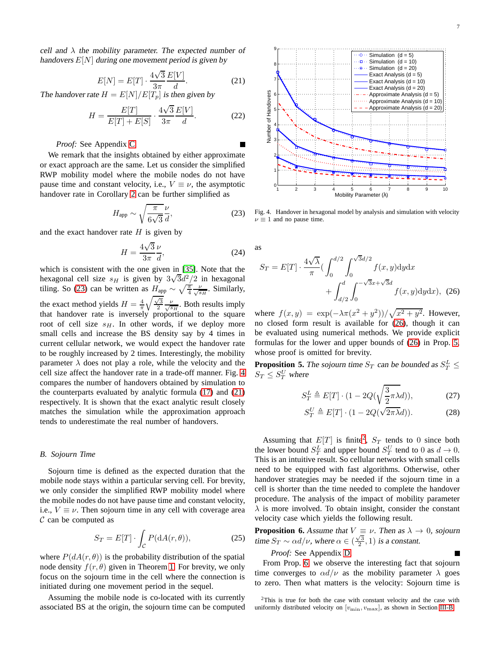cell and  $\lambda$  the mobility parameter. The expected number of handovers  $E[N]$  during one movement period is given by

$$
E[N] = E[T] \cdot \frac{4\sqrt{3}}{3\pi} \frac{E[V]}{d}.
$$
 (21)

The handover rate  $H = E[N]/E[T_p]$  is then given by

$$
H = \frac{E[T]}{E[T] + E[S]} \cdot \frac{4\sqrt{3}}{3\pi} \frac{E[V]}{d}.
$$
 (22)

## *Proof:* See Appendix [C.](#page-10-2)

We remark that the insights obtained by either approximate or exact approach are the same. Let us consider the simplified RWP mobility model where the mobile nodes do not have pause time and constant velocity, i.e.,  $V \equiv \nu$ , the asymptotic handover rate in Corollary [2](#page-5-3) can be further simplified as

$$
H_{\rm app} \sim \sqrt{\frac{\pi}{6\sqrt{3}}}\frac{\nu}{d},\qquad(23)
$$

and the exact handover rate  $H$  is given by

$$
H = \frac{4\sqrt{3}}{3\pi} \frac{\nu}{d},\tag{24}
$$

as

which is consistent with the one given in [\[35\]](#page-12-22). Note that the hexagonal cell size  $s_H$  is given by  $3\sqrt{3}d^2/2$  in hexagonal tiling. So [\(23\)](#page-6-0) can be written as  $H_{\text{app}} \sim \sqrt{\frac{\pi}{4}} \frac{\nu}{\sqrt{s_H}}$ . Similarly, the exact method yields  $H = \frac{4}{\pi} \sqrt{\frac{\sqrt{3}}{2}} \frac{\nu}{\sqrt{s_H}}$ . Both results imply that handover rate is inversely proportional to the square root of cell size  $s_H$ . In other words, if we deploy more small cells and increase the BS density say by 4 times in current cellular network, we would expect the handover rate to be roughly increased by 2 times. Interestingly, the mobility parameter  $\lambda$  does not play a role, while the velocity and the cell size affect the handover rate in a trade-off manner. Fig. [4](#page-6-1) compares the number of handovers obtained by simulation to the counterparts evaluated by analytic formula [\(17\)](#page-5-4) and [\(21\)](#page-6-2) respectively. It is shown that the exact analytic result closely matches the simulation while the approximation approach tends to underestimate the real number of handovers.

#### *B. Sojourn Time*

Sojourn time is defined as the expected duration that the mobile node stays within a particular serving cell. For brevity, we only consider the simplified RWP mobility model where the mobile nodes do not have pause time and constant velocity, i.e.,  $V \equiv \nu$ . Then sojourn time in any cell with coverage area  $\mathcal C$  can be computed as

$$
S_T = E[T] \cdot \int_{\mathcal{C}} P(\mathrm{d}A(r,\theta)),\tag{25}
$$

where  $P(dA(r, \theta))$  is the probability distribution of the spatial node density  $f(r, \theta)$  given in Theorem [1.](#page-3-4) For brevity, we only focus on the sojourn time in the cell where the connection is initiated during one movement period in the sequel.

Assuming the mobile node is co-located with its currently associated BS at the origin, the sojourn time can be computed

<span id="page-6-6"></span><span id="page-6-2"></span>

<span id="page-6-1"></span><span id="page-6-0"></span>Fig. 4. Handover in hexagonal model by analysis and simulation with velocity  $\nu \equiv 1$  and no pause time.

$$
S_T = E[T] \cdot \frac{4\sqrt{\lambda}}{\pi} \left( \int_0^{d/2} \int_0^{\sqrt{3}d/2} f(x, y) dy dx + \int_{d/2}^d \int_0^{-\sqrt{3}x + \sqrt{3}d} f(x, y) dy dx \right), (26)
$$

where  $f(x, y) = \exp(-\lambda \pi (x^2 + y^2))/\sqrt{x^2 + y^2}$ . However, no closed form result is available for [\(26\)](#page-6-3), though it can be evaluated using numerical methods. We provide explicit formulas for the lower and upper bounds of [\(26\)](#page-6-3) in Prop. [5,](#page-6-4) whose proof is omitted for brevity.

**Proposition 5.** The sojourn time  $S_T$  can be bounded as  $S_T^L \leq$  $S_T \leq S_T^U$  where

<span id="page-6-3"></span>
$$
S_T^L \triangleq E[T] \cdot (1 - 2Q(\sqrt{\frac{3}{2}\pi\lambda}d)),\tag{27}
$$

<span id="page-6-4"></span>
$$
S_T^U \triangleq E[T] \cdot (1 - 2Q(\sqrt{2\pi\lambda}d)). \tag{28}
$$

Assuming that  $E[T]$  is finite<sup>2</sup>,  $S_T$  tends to 0 since both the lower bound  $S_T^L$  and upper bound  $S_T^U$  tend to 0 as  $d \to 0$ . This is an intuitive result. So cellular networks with small cells need to be equipped with fast algorithms. Otherwise, other handover strategies may be needed if the sojourn time in a cell is shorter than the time needed to complete the handover procedure. The analysis of the impact of mobility parameter  $\lambda$  is more involved. To obtain insight, consider the constant velocity case which yields the following result.

<span id="page-6-7"></span><span id="page-6-5"></span>**Proposition 6.** Assume that  $V \equiv \nu$ . Then as  $\lambda \to 0$ , sojourn time  $S_T \sim \alpha d/\nu$ , where  $\alpha \in (\frac{\sqrt{3}}{2}, 1)$  is a constant.

*Proof:* See Appendix [D.](#page-10-3)

From Prop. [6,](#page-6-5) we observe the interesting fact that sojourn time converges to  $\alpha d/\nu$  as the mobility parameter  $\lambda$  goes to zero. Then what matters is the velocity: Sojourn time is

<sup>&</sup>lt;sup>2</sup>This is true for both the case with constant velocity and the case with uniformly distributed velocity on  $[v_{\min}, v_{\max}]$ , as shown in Section [III-B.](#page-2-1)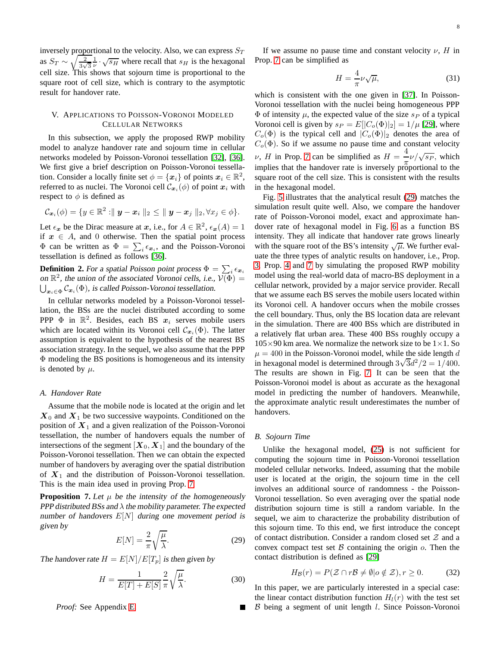inversely proportional to the velocity. Also, we can express  $S_T$ as  $S_T \sim \sqrt{\frac{2}{3\sqrt{3}}}$  $\frac{1}{\nu} \cdot \sqrt{s_H}$  where recall that  $s_H$  is the hexagonal cell size. This shows that sojourn time is proportional to the square root of cell size, which is contrary to the asymptotic result for handover rate.

## V. APPLICATIONS TO POISSON-VORONOI MODELED CELLULAR NETWORKS

In this subsection, we apply the proposed RWP mobility model to analyze handover rate and sojourn time in cellular networks modeled by Poisson-Voronoi tessellation [\[32\]](#page-12-19), [\[36\]](#page-12-23). We first give a brief description on Poisson-Voronoi tessellation. Consider a locally finite set  $\phi = {\mathbf{x}_i}$  of points  $x_i \in \mathbb{R}^2$ , referred to as nuclei. The Voronoi cell  $\mathcal{C}_{\bm{x}_i}(\phi)$  of point  $\bm{x}_i$  with respect to  $\phi$  is defined as

$$
\mathcal{C}_{\boldsymbol{x}_i}(\phi) = \{y \in \mathbb{R}^2 : ||\boldsymbol{y} - \boldsymbol{x}_i||_2 \le ||\boldsymbol{y} - \boldsymbol{x}_j||_2, \forall x_j \in \phi\}.
$$

Let  $\epsilon_x$  be the Dirac measure at x, i.e., for  $A \in \mathbb{R}^2$ ,  $\epsilon_x(A) = 1$ if  $x \in A$ , and 0 otherwise. Then the spatial point process  $\Phi$  can be written as  $\Phi = \sum_i \epsilon_{\mathbf{x}_i}$ , and the Poisson-Voronoi tessellation is defined as follows [\[36\]](#page-12-23).

**Definition 2.** For a spatial Poisson point process  $\Phi = \sum_i \epsilon_{\mathbf{x}_i}$ on  $\mathbb{R}^2$ , the union of the associated Voronoi cells, i.e.,  $V(\Phi) =$  $\bigcup_{\bm{x}_i \in \Phi} \mathcal{C}_{\bm{x}_i}(\Phi)$ , is called Poisson-Voronoi tessellation.

In cellular networks modeled by a Poisson-Voronoi tessellation, the BSs are the nuclei distributed according to some PPP  $\Phi$  in  $\mathbb{R}^2$ . Besides, each BS  $x_i$  serves mobile users which are located within its Voronoi cell  $\mathcal{C}_{x_i}(\Phi)$ . The latter assumption is equivalent to the hypothesis of the nearest BS association strategy. In the sequel, we also assume that the PPP Φ modeling the BS positions is homogeneous and its intensity is denoted by  $\mu$ .

## *A. Handover Rate*

Assume that the mobile node is located at the origin and let  $X_0$  and  $X_1$  be two successive waypoints. Conditioned on the position of  $X_1$  and a given realization of the Poisson-Voronoi tessellation, the number of handovers equals the number of intersections of the segment  $[X_0, X_1]$  and the boundary of the Poisson-Voronoi tessellation. Then we can obtain the expected number of handovers by averaging over the spatial distribution of  $X_1$  and the distribution of Poisson-Voronoi tessellation. This is the main idea used in proving Prop. [7.](#page-7-0)

<span id="page-7-1"></span>**Proposition 7.** Let  $\mu$  be the intensity of the homogeneously PPP distributed BSs and  $\lambda$  the mobility parameter. The expected number of handovers  $E[N]$  during one movement period is given by

$$
E[N] = \frac{2}{\pi} \sqrt{\frac{\mu}{\lambda}}.
$$
\n(29)

The handover rate  $H = E[N]/E[T_p]$  is then given by

$$
H = \frac{1}{E[T] + E[S]} \frac{2}{\pi} \sqrt{\frac{\mu}{\lambda}}.
$$
 (30)

*Proof:* See Appendix [E.](#page-11-2)

If we assume no pause time and constant velocity  $\nu$ , H in Prop. [7](#page-7-0) can be simplified as

$$
H = \frac{4}{\pi} \nu \sqrt{\mu},\tag{31}
$$

which is consistent with the one given in [\[37\]](#page-12-24). In Poisson-Voronoi tessellation with the nuclei being homogeneous PPP  $\Phi$  of intensity  $\mu$ , the expected value of the size  $s_P$  of a typical Voronoi cell is given by  $s_P = E[|C_o(\Phi)|_2] = 1/\mu$  [\[29\]](#page-12-18), where  $C_o(\Phi)$  is the typical cell and  $|C_o(\Phi)|_2$  denotes the area of  $C<sub>o</sub>(\Phi)$ . So if we assume no pause time and constant velocity  $ν$ , *H* in Prop. [7](#page-7-0) can be simplified as  $H = \frac{4}{3}$  $rac{4}{\pi}\nu/\sqrt{s_P}$ , which implies that the handover rate is inversely proportional to the square root of the cell size. This is consistent with the results in the hexagonal model.

Fig. [5](#page-8-0) illustrates that the analytical result [\(29\)](#page-7-1) matches the simulation result quite well. Also, we compare the handover rate of Poisson-Voronoi model, exact and approximate handover rate of hexagonal model in Fig. [6](#page-8-1) as a function BS intensity. They all indicate that handover rate grows linearly with the square root of the BS's intensity  $\sqrt{\mu}$ . We further evaluate the three types of analytic results on handover, i.e., Prop. [3,](#page-5-2) Prop. [4](#page-6-6) and [7](#page-7-0) by simulating the proposed RWP mobility model using the real-world data of macro-BS deployment in a cellular network, provided by a major service provider. Recall that we assume each BS serves the mobile users located within its Voronoi cell. A handover occurs when the mobile crosses the cell boundary. Thus, only the BS location data are relevant in the simulation. There are 400 BSs which are distributed in a relatively flat urban area. These 400 BSs roughly occupy a  $105\times90$  km area. We normalize the network size to be  $1\times1$ . So  $\mu = 400$  in the Poisson-Voronoi model, while the side length d in hexagonal model is determined through  $3\sqrt{3}d^2/2 = 1/400$ . The results are shown in Fig. [7.](#page-8-2) It can be seen that the Poisson-Voronoi model is about as accurate as the hexagonal model in predicting the number of handovers. Meanwhile, the approximate analytic result underestimates the number of handovers.

#### *B. Sojourn Time*

Unlike the hexagonal model, [\(25\)](#page-6-7) is not sufficient for computing the sojourn time in Poisson-Voronoi tessellation modeled cellular networks. Indeed, assuming that the mobile user is located at the origin, the sojourn time in the cell involves an additional source of randomness - the Poisson-Voronoi tessellation. So even averaging over the spatial node distribution sojourn time is still a random variable. In the sequel, we aim to characterize the probability distribution of this sojourn time. To this end, we first introduce the concept of contact distribution. Consider a random closed set  $Z$  and a convex compact test set  $\beta$  containing the origin  $\alpha$ . Then the contact distribution is defined as [\[29\]](#page-12-18)

$$
H_{\mathcal{B}}(r) = P(\mathcal{Z} \cap r\mathcal{B} \neq \emptyset | o \notin \mathcal{Z}), r \ge 0.
$$
 (32)

<span id="page-7-0"></span>In this paper, we are particularly interested in a special case: the linear contact distribution function  $H_l(r)$  with the test set  $B$  being a segment of unit length *l*. Since Poisson-Voronoi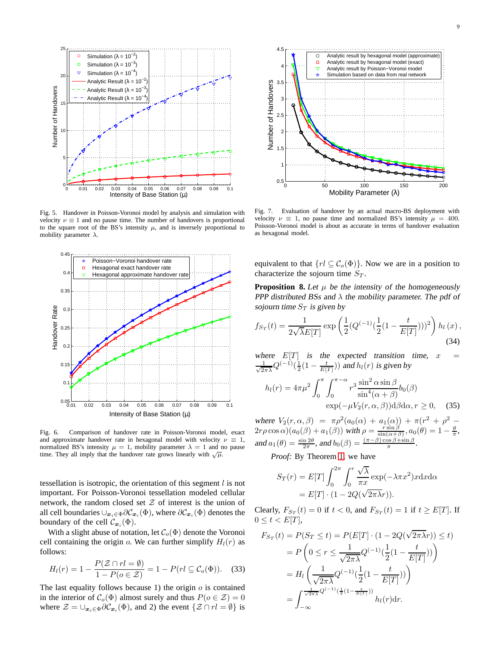

<span id="page-8-0"></span>Fig. 5. Handover in Poisson-Voronoi model by analysis and simulation with velocity  $\nu \equiv 1$  and no pause time. The number of handovers is proportional to the square root of the BS's intensity  $\mu$ , and is inversely proportional to mobility parameter  $\lambda$ .



<span id="page-8-1"></span>Fig. 6. Comparison of handover rate in Poisson-Voronoi model, exact and approximate handover rate in hexagonal model with velocity  $\nu \equiv 1$ , normalized BS's intensity  $\mu = 1$ , mobility parameter  $\lambda = 1$  and no pause time. They all imply that the handover rate grows linearly with  $\sqrt{\mu}$ .

tessellation is isotropic, the orientation of this segment  $l$  is not important. For Poisson-Voronoi tessellation modeled cellular network, the random closed set  $Z$  of interest is the union of all cell boundaries  $\cup_{x_i \in \Phi} \partial \mathcal{C}_{x_i}(\Phi)$ , where  $\partial \mathcal{C}_{x_i}(\Phi)$  denotes the boundary of the cell  $\mathcal{C}_{\bm{x}_i}(\Phi)$ .

With a slight abuse of notation, let  $\mathcal{C}_{o}(\Phi)$  denote the Voronoi cell containing the origin o. We can further simplify  $H_l(r)$  as follows:

$$
H_l(r) = 1 - \frac{P(\mathcal{Z} \cap rl = \emptyset)}{1 - P(o \in \mathcal{Z})} = 1 - P(rl \subseteq C_o(\Phi)).
$$
 (33)

The last equality follows because 1) the origin  $o$  is contained in the interior of  $C_o(\Phi)$  almost surely and thus  $P(o \in \mathcal{Z}) = 0$ where  $\mathcal{Z} = \bigcup_{\mathbf{x}_i \in \Phi} \partial \mathcal{C}_{\mathbf{x}_i}(\Phi)$ , and 2) the event  $\{\mathcal{Z} \cap rl = \emptyset\}$  is



<span id="page-8-2"></span>Fig. 7. Evaluation of handover by an actual macro-BS deployment with velocity  $\nu \equiv 1$ , no pause time and normalized BS's intensity  $\mu = 400$ . Poisson-Voronoi model is about as accurate in terms of handover evaluation as hexagonal model.

equivalent to that  $\{rl \subseteq C_o(\Phi)\}\)$ . Now we are in a position to characterize the sojourn time  $S_T$ .

**Proposition 8.** Let  $\mu$  be the intensity of the homogeneously PPP distributed BSs and  $\lambda$  the mobility parameter. The pdf of sojourn time  $S_T$  is given by

$$
f_{S_T}(t) = \frac{1}{2\sqrt{\lambda}E[T]} \exp\left(\frac{1}{2}(Q^{(-1)}(\frac{1}{2}(1-\frac{t}{E[T]})))^2\right)h_l(x),\tag{34}
$$

where  $E[T]$  is the expected transition time,  $x =$  $\frac{1}{\sqrt{2\pi\lambda}}Q^{(-1)}(\frac{1}{2}(1-\frac{t}{E[T]}))$  and  $h_l(r)$  is given by  $\int_{-\pi}^{\pi} \int_{-\pi}^{\pi-\alpha} r^3 \frac{\sin^2 \alpha \sin \beta}{1+\alpha^2}$ 

<span id="page-8-4"></span><span id="page-8-3"></span>
$$
h_l(r) = 4\pi\mu^2 \int_0^{\infty} \int_0^{\infty} \frac{r^3 \frac{\sin \alpha \sin \beta}{\sin^4(\alpha + \beta)} b_0(\beta)}{\exp(-\mu V_2(r, \alpha, \beta)) d\beta d\alpha, r \ge 0, \quad (35)
$$

where  $V_2(r, \alpha, \beta) = \pi \rho^2 (a_0(\alpha) + a_1(\alpha)) + \pi (r^2 + \rho^2 2r\rho \cos \alpha$   $(a_0(\beta) + a_1(\beta))$  with  $\rho = \frac{r \sin \beta}{\sin(\alpha + \beta)}, a_0(\theta) = 1 - \frac{\theta}{\pi}$ ,<br>and  $a_1(\theta) = \frac{\sin 2\theta}{2\pi}$ , and  $b_0(\beta) = \frac{(\pi - \beta) \cos \beta + \sin \beta}{\pi}$ .

*Proof:* By Theorem [1](#page-3-4), we have

$$
S_T(r) = E[T] \int_0^{2\pi} \int_0^r \frac{\sqrt{\lambda}}{\pi x} \exp(-\lambda \pi x^2) x \, dx \, d\alpha
$$

$$
= E[T] \cdot (1 - 2Q(\sqrt{2\pi \lambda}r)).
$$

Clearly,  $F_{S_T}(t) = 0$  if  $t < 0$ , and  $F_{S_T}(t) = 1$  if  $t \ge E[T]$ . If  $0 \le t < E[T],$ 

$$
F_{S_T}(t) = P(S_T \le t) = P(E[T] \cdot (1 - 2Q(\sqrt{2\pi\lambda}r)) \le t)
$$
  
=  $P\left(0 \le r \le \frac{1}{\sqrt{2\pi\lambda}}Q^{(-1)}(\frac{1}{2}(1 - \frac{t}{E[T]}))\right)$   
=  $H_l\left(\frac{1}{\sqrt{2\pi\lambda}}Q^{(-1)}(\frac{1}{2}(1 - \frac{t}{E[T]}))\right)$   
=  $\int_{-\infty}^{\frac{1}{\sqrt{2\pi\lambda}}Q^{(-1)}(\frac{1}{2}(1 - \frac{t}{E[T]}))}h_l(r)dr.$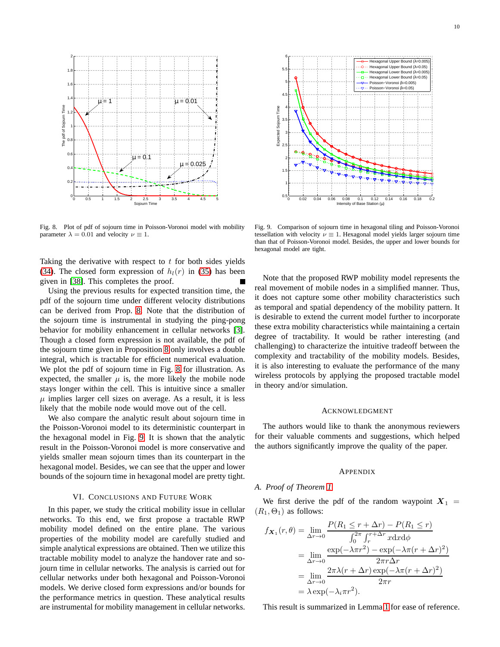

<span id="page-9-1"></span>Fig. 8. Plot of pdf of sojourn time in Poisson-Voronoi model with mobility parameter  $\lambda = 0.01$  and velocity  $\nu \equiv 1$ .

Taking the derivative with respect to  $t$  for both sides yields [\(34\)](#page-8-3). The closed form expression of  $h_l(r)$  in [\(35\)](#page-8-4) has been given in [\[38\]](#page-12-25). This completes the proof.

Using the previous results for expected transition time, the pdf of the sojourn time under different velocity distributions can be derived from Prop. [8.](#page-8-4) Note that the distribution of the sojourn time is instrumental in studying the ping-pong behavior for mobility enhancement in cellular networks [\[3\]](#page-12-0). Though a closed form expression is not available, the pdf of the sojourn time given in Proposition [8](#page-8-4) only involves a double integral, which is tractable for efficient numerical evaluation. We plot the pdf of sojourn time in Fig. [8](#page-9-1) for illustration. As expected, the smaller  $\mu$  is, the more likely the mobile node stays longer within the cell. This is intuitive since a smaller  $\mu$  implies larger cell sizes on average. As a result, it is less likely that the mobile node would move out of the cell.

We also compare the analytic result about sojourn time in the Poisson-Voronoi model to its deterministic counterpart in the hexagonal model in Fig. [9.](#page-9-2) It is shown that the analytic result in the Poisson-Voronoi model is more conservative and yields smaller mean sojourn times than its counterpart in the hexagonal model. Besides, we can see that the upper and lower bounds of the sojourn time in hexagonal model are pretty tight.

## VI. CONCLUSIONS AND FUTURE WORK

In this paper, we study the critical mobility issue in cellular networks. To this end, we first propose a tractable RWP mobility model defined on the entire plane. The various properties of the mobility model are carefully studied and simple analytical expressions are obtained. Then we utilize this tractable mobility model to analyze the handover rate and sojourn time in cellular networks. The analysis is carried out for cellular networks under both hexagonal and Poisson-Voronoi models. We derive closed form expressions and/or bounds for the performance metrics in question. These analytical results are instrumental for mobility management in cellular networks.



<span id="page-9-2"></span>Fig. 9. Comparison of sojourn time in hexagonal tiling and Poisson-Voronoi tessellation with velocity  $\nu \equiv 1$ . Hexagonal model yields larger sojourn time than that of Poisson-Voronoi model. Besides, the upper and lower bounds for hexagonal model are tight.

Note that the proposed RWP mobility model represents the real movement of mobile nodes in a simplified manner. Thus, it does not capture some other mobility characteristics such as temporal and spatial dependency of the mobility pattern. It is desirable to extend the current model further to incorporate these extra mobility characteristics while maintaining a certain degree of tractability. It would be rather interesting (and challenging) to characterize the intuitive tradeoff between the complexity and tractability of the mobility models. Besides, it is also interesting to evaluate the performance of the many wireless protocols by applying the proposed tractable model in theory and/or simulation.

#### ACKNOWLEDGMENT

The authors would like to thank the anonymous reviewers for their valuable comments and suggestions, which helped the authors significantly improve the quality of the paper.

#### APPENDIX

#### <span id="page-9-0"></span>*A. Proof of Theorem [1](#page-3-4)*

We first derive the pdf of the random waypoint  $X_1 =$  $(R_1, \Theta_1)$  as follows:

$$
f_{\mathbf{X}_1}(r,\theta) = \lim_{\Delta r \to 0} \frac{P(R_1 \le r + \Delta r) - P(R_1 \le r)}{\int_0^{2\pi} \int_r^{r + \Delta r} x \, dx \, d\phi}
$$
  
= 
$$
\lim_{\Delta r \to 0} \frac{\exp(-\lambda \pi r^2) - \exp(-\lambda \pi (r + \Delta r)^2)}{2\pi r \Delta r}
$$
  
= 
$$
\lim_{\Delta r \to 0} \frac{2\pi \lambda (r + \Delta r) \exp(-\lambda \pi (r + \Delta r)^2)}{2\pi r}
$$
  
= 
$$
\lambda \exp(-\lambda_i \pi r^2).
$$

This result is summarized in Lemma [1](#page-10-0) for ease of reference.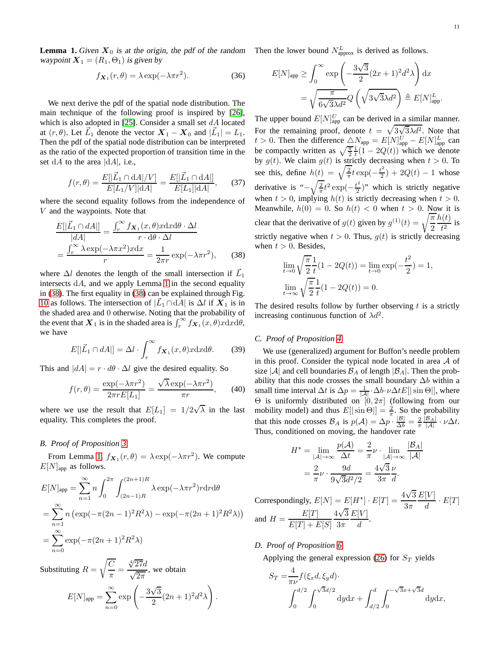**Lemma 1.** Given  $X_0$  is at the origin, the pdf of the random Then the lower bound  $N_{\text{approx}}^L$  is derived as follows. waypoint  $X_1 = (R_1, \Theta_1)$  is given by

<span id="page-10-0"></span>
$$
f_{\mathbf{X}_1}(r,\theta) = \lambda \exp(-\lambda \pi r^2). \tag{36}
$$

We next derive the pdf of the spatial node distribution. The main technique of the following proof is inspired by [\[26\]](#page-12-16), which is also adopted in [\[25\]](#page-12-14). Consider a small set  $dA$  located at  $(r, \theta)$ . Let  $\vec{L}_1$  denote the vector  $\mathbf{X}_1 - \mathbf{X}_0$  and  $|\vec{L}_1| = L_1$ . Then the pdf of the spatial node distribution can be interpreted as the ratio of the expected proportion of transition time in the set  $dA$  to the area  $|dA|$ , i.e.,

$$
f(r,\theta) = \frac{E[|\vec{L}_1 \cap \mathrm{d}A|/V]}{E[L_1/V]|\mathrm{d}A|} = \frac{E[|\vec{L}_1 \cap \mathrm{d}A|]}{E[L_1]|\mathrm{d}A|},\qquad(37)
$$

where the second equality follows from the independence of V and the waypoints. Note that

$$
\frac{E[|\vec{L}_1 \cap dA|]}{|dA|} = \frac{\int_r^{\infty} f_{\mathbf{X}_1}(x,\theta)x \, dx \, d\theta \cdot \Delta l}{r \cdot d\theta \cdot \Delta l}
$$
\n
$$
= \frac{\int_r^{\infty} \lambda \exp(-\lambda \pi x^2)x \, dx}{r} = \frac{1}{2\pi r} \exp(-\lambda \pi r^2), \qquad (38)
$$

where  $\Delta l$  denotes the length of the small intersection if  $\vec{L}_1$ intersects  $dA$ , and we apply Lemma [1](#page-10-0) in the second equality in [\(38\)](#page-10-4). The first equality in [\(38\)](#page-10-4) can be explained through Fig. [10](#page-11-3) as follows. The intersection of  $|\vec{L}_1 \cap d\vec{A}|$  is  $\Delta l$  if  $\vec{X}_1$  is in the shaded area and 0 otherwise. Noting that the probability of the event that  $X_1$  is in the shaded area is  $\int_r^{\infty} f_{X_1}(x,\theta) x dx d\theta$ , we have

$$
E[|\vec{L}_1 \cap dA|] = \Delta l \cdot \int_r^{\infty} f_{\mathbf{X}_1}(x,\theta) x \, dx \, d\theta. \tag{39}
$$

This and  $|dA| = r \cdot d\theta \cdot \Delta l$  give the desired equality. So

$$
f(r,\theta) = \frac{\exp(-\lambda \pi r^2)}{2\pi r E[L_1]} = \frac{\sqrt{\lambda} \exp(-\lambda \pi r^2)}{\pi r},\qquad(40)
$$

where we use the result that  $E[L_1] = 1/2\sqrt{\lambda}$  in the last equality. This completes the proof.

## <span id="page-10-1"></span>*B. Proof of Proposition [3](#page-5-2)*

From Lemma [1,](#page-10-0)  $f_{\mathbf{X}_1}(r,\theta) = \lambda \exp(-\lambda \pi r^2)$ . We compute  $E[N]_{app}$  as follows.

$$
E[N]_{app} = \sum_{n=1}^{\infty} n \int_0^{2\pi} \int_{(2n-1)R}^{(2n+1)R} \lambda \exp(-\lambda \pi r^2) r dr d\theta
$$
  
= 
$$
\sum_{n=1}^{\infty} n \left( \exp(-\pi (2n-1)^2 R^2 \lambda) - \exp(-\pi (2n+1)^2 R^2 \lambda) \right)
$$
  
= 
$$
\sum_{n=0}^{\infty} \exp(-\pi (2n+1)^2 R^2 \lambda)
$$

Substituting  $R =$  $\sqrt{C}$  $\frac{\sigma}{\pi}$  =  $\sqrt[4]{27}d$  $\sqrt{2\pi}$ , we obtain

$$
E[N]_{\text{app}} = \sum_{n=0}^{\infty} \exp\left(-\frac{3\sqrt{3}}{2}(2n+1)^2 d^2 \lambda\right).
$$

$$
E[N]_{\text{app}} \ge \int_0^\infty \exp\left(-\frac{3\sqrt{3}}{2}(2x+1)^2 d^2\lambda\right) dx
$$
  
=  $\sqrt{\frac{\pi}{6\sqrt{3}\lambda d^2}} Q\left(\sqrt{3\sqrt{3}\lambda d^2}\right) \triangleq E[N]_{\text{app}}^L.$ 

The upper bound  $E[N]^U_{\text{app}}$  can be derived in a similar manner. For the remaining proof, denote  $t = \sqrt{3\sqrt{3}\lambda d^2}$ . Note that  $t > 0$ . Then the difference  $\triangle N_{\text{app}} = E[N]_{\text{app}}^U - E[N]_{\text{app}}^L$  can be compactly written as  $\sqrt{\frac{\pi}{2}} \frac{1}{t} (1 - 2Q(t))$  which we denote by  $g(t)$ . We claim  $g(t)$  is strictly decreasing when  $t > 0$ . To see this, define  $h(t) = \sqrt{\frac{2}{\pi}}t \exp(-\frac{t^2}{2})$  $(\frac{t^2}{2}) + 2Q(t) - 1$  whose derivative is " $-\sqrt{\frac{2}{\pi}}t^2 \exp(-\frac{t^2}{2})$  $\frac{f^2}{2}$ " which is strictly negative when  $t > 0$ , implying  $h(t)$  is strictly decreasing when  $t > 0$ . Meanwhile,  $h(0) = 0$ . So  $h(t) < 0$  when  $t > 0$ . Now it is clear that the derivative of  $g(t)$  given by  $g^{(1)}(t) = \sqrt{\frac{\pi}{2}}$ 2  $h(t)$  $\frac{1}{t^2}$  is strictly negative when  $t > 0$ . Thus,  $g(t)$  is strictly decreasing when  $t > 0$ . Besides,

<span id="page-10-4"></span>
$$
\lim_{t \to 0} \sqrt{\frac{\pi}{2}} \frac{1}{t} (1 - 2Q(t)) = \lim_{t \to 0} \exp(-\frac{t^2}{2}) = 1,
$$
  

$$
\lim_{t \to \infty} \sqrt{\frac{\pi}{2}} \frac{1}{t} (1 - 2Q(t)) = 0.
$$

The desired results follow by further observing  $t$  is a strictly increasing continuous function of  $\lambda d^2$ .

# <span id="page-10-2"></span>*C. Proof of Proposition [4](#page-6-6)*

We use (generalized) argument for Buffon's needle problem in this proof. Consider the typical node located in area  $A$  of size  $|\mathcal{A}|$  and cell boundaries  $\mathcal{B}_A$  of length  $|\mathcal{B}_A|$ . Then the probability that this node crosses the small boundary  $\Delta b$  within a small time interval  $\Delta t$  is  $\Delta p = \frac{1}{|A|} \Delta b \cdot \nu \Delta t E[|\sin \Theta|]$ , where  $Θ$  is uniformly distributed on  $[0, 2π]$  (following from our mobility model) and thus  $E[|\sin \Theta|] = \frac{2}{\pi}$ . So the probability that this node crosses  $\mathcal{B}_A$  is  $p(\mathcal{A}) = \Delta p \cdot \frac{|\mathcal{B}|}{\Delta b} = \frac{2}{\pi} \frac{|\mathcal{B}_A|}{|\mathcal{A}|} \cdot \nu \Delta t$ .<br>Thus, conditioned on moving, the handover rate

$$
H^* = \lim_{|\mathcal{A}| \to \infty} \frac{p(\mathcal{A})}{\Delta t} = \frac{2}{\pi} \nu \cdot \lim_{|\mathcal{A}| \to \infty} \frac{|\mathcal{B}_\mathcal{A}|}{|\mathcal{A}|}
$$

$$
= \frac{2}{\pi} \nu \cdot \frac{9d}{9\sqrt{3}d^2/2} = \frac{4\sqrt{3}}{3\pi} \frac{\nu}{d}.
$$

Correspondingly,  $E[N] = E[H^*] \cdot E[T] = \frac{4\sqrt{3}}{3\pi}$  $3\pi$  $E[V]$  $\frac{d}{d} \cdot E[T]$ and  $H = \frac{E[T]}{E[T]+I}$  $E[T] + E[S]$  $4\sqrt{3}$  $3\pi$  $E[V]$  $\frac{d}{d}$ .

## <span id="page-10-3"></span>*D. Proof of Proposition [6](#page-6-5)*

Applying the general expression [\(26\)](#page-6-3) for  $S_T$  yields

$$
S_T = \frac{4}{\pi \nu} f(\xi_x d, \xi_y d) \cdot \int_0^{d/2} \int_0^{\sqrt{3}d/2} dy dx + \int_{d/2}^d \int_0^{-\sqrt{3}x + \sqrt{3}d} dy dx,
$$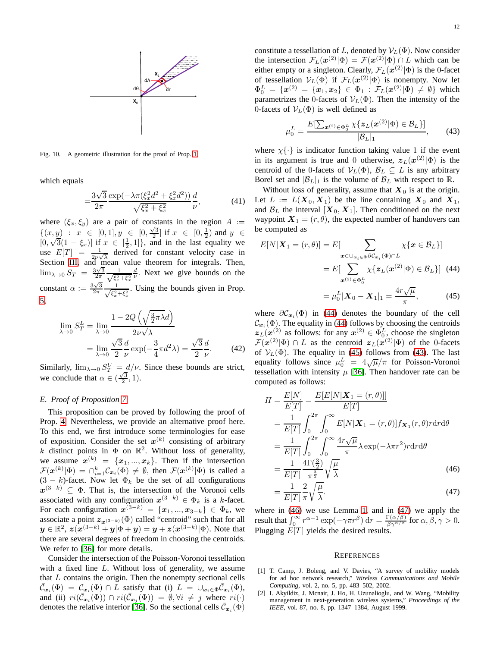

<span id="page-11-3"></span>Fig. 10. A geometric illustration for the proof of Prop. [1](#page-3-4)

which equals

$$
=\frac{3\sqrt{3}}{2\pi}\frac{\exp(-\lambda\pi(\xi_x^2d^2+\xi_x^2d^2))}{\sqrt{\xi_x^2+\xi_x^2}}\frac{d}{\nu},\tag{41}
$$

where  $(\xi_x, \xi_y)$  are a pair of constants in the region  $A :=$  $\{(x, y) : x \in [0, 1], y \in [0, \frac{\sqrt{3}}{2}] \text{ if } x \in [0, \frac{1}{2}) \text{ and } y \in$  $[0, \sqrt{3}(1 - \xi_x)]$  if  $x \in [\frac{1}{2}, 1]$ , and in the last equality we use  $E[T] = \frac{1}{2\nu\sqrt{\lambda}}$  derived for constant velocity case in Section [III,](#page-2-2) and mean value theorem for integrals. Then,  $\lim_{\lambda \to 0} S_T = \frac{3\sqrt{3}}{2\pi} \frac{1}{\sqrt{\xi^2}}$  $\xi_x^2 + \xi_x^2$  $\frac{d}{\nu}$ . Next we give bounds on the constant  $\alpha := \frac{3\sqrt{3}}{2\pi} \frac{1}{\sqrt{\xi^2}}$  $\frac{1}{\xi_x^2 + \xi_x^2}$ . Using the bounds given in Prop. [5,](#page-6-4)

$$
\lim_{\lambda \to 0} S_T^L = \lim_{\lambda \to 0} \frac{1 - 2Q\left(\sqrt{\frac{3}{2}\pi\lambda}d\right)}{2\nu\sqrt{\lambda}}
$$

$$
= \lim_{\lambda \to 0} \frac{\sqrt{3}}{2} \frac{d}{\nu} \exp\left(-\frac{3}{4}\pi d^2\lambda\right) = \frac{\sqrt{3}}{2} \frac{d}{\nu}.
$$
(42)

Similarly,  $\lim_{\lambda\to 0} S_T^U = \frac{d}{\tau}$ . Since these bounds are strict, we conclude that  $\alpha \in (\frac{\sqrt{3}}{2}, 1)$ .

## <span id="page-11-2"></span>*E. Proof of Proposition [7](#page-7-0)*

This proposition can be proved by following the proof of Prop. [4.](#page-6-6) Nevertheless, we provide an alternative proof here. To this end, we first introduce some terminologies for ease of exposition. Consider the set  $x^{(k)}$  consisting of arbitrary k distinct points in  $\Phi$  on  $\mathbb{R}^2$ . Without loss of generality, we assume  $x^{(k)} = \{x_1, ..., x_k\}$ . Then if the intersection  $\mathcal{F}(\bm{x}^{(k)}|\Phi) = \bigcap_{i=1}^{k} \mathcal{C}_{\bm{x}_i}(\Phi) \neq \emptyset$ , then  $\mathcal{F}(\bm{x}^{(k)}|\Phi)$  is called a  $(3 - k)$ -facet. Now let  $\Phi_k$  be the set of all configurations  $x^{(3-k)} \subseteq \Phi$ . That is, the intersection of the Voronoi cells associated with any configuration  $x^{(3-k)} \in \Phi_k$  is a k-facet. For each configuration  $x^{(3-k)} = \{x_1, ..., x_{3-k}\} \in \Phi_k$ , we associate a point  $z_{x^{(3-k)}}(\Phi)$  called "centroid" such that for all  $y \in \mathbb{R}^2$ ,  $z(x^{(3-k)} + y | \Phi + y) = y + z(x^{(3-k)} | \Phi)$ . Note that there are several degrees of freedom in choosing the centroids. We refer to [\[36\]](#page-12-23) for more details.

Consider the intersection of the Poisson-Voronoi tessellation with a fixed line L. Without loss of generality, we assume that  $L$  contains the origin. Then the nonempty sectional cells  $\bar{\mathcal{C}}_{\bm{x}_i}(\Phi) = \mathcal{C}_{\bm{x}_i}(\Phi) \cap L$  satisfy that (i)  $L = \cup_{\bm{x}_i \in \Phi} \bar{\mathcal{C}}_{\bm{x}_i}(\Phi),$ and (ii)  $ri(\bar{C}_{\bm{x}_i}(\Phi)) \cap ri(\bar{C}_{\bm{x}_j}(\Phi)) = \emptyset, \forall i \neq j$  where  $ri(\cdot)$ denotes the relative interior [\[36\]](#page-12-23). So the sectional cells  $\bar{\mathcal{C}}_{\mathbf{x}_i}(\Phi)$  constitute a tessellation of L, denoted by  $\mathcal{V}_L(\Phi)$ . Now consider the intersection  $\mathcal{F}_L(\boldsymbol{x}^{(2)}|\Phi) = \mathcal{F}(\boldsymbol{x}^{(2)}|\Phi) \cap L$  which can be either empty or a singleton. Clearly,  $\mathcal{F}_L(\boldsymbol{x}^{(2)}|\Phi)$  is the 0-facet of tessellation  $V_L(\Phi)$  if  $\mathcal{F}_L(\boldsymbol{x}^{(2)}|\Phi)$  is nonempty. Now let  $\Phi^L_0 \ = \ \{ \boldsymbol{x}^{(2)} \ = \ \{ \boldsymbol{x}_1, \boldsymbol{x}_2 \} \ \in \ \Phi_1 \ \colon \ \mathcal{F}_L(\boldsymbol{x}^{(2)} | \Phi) \ \neq \ \emptyset \} \ \ \text{which}$ parametrizes the 0-facets of  $V_L(\Phi)$ . Then the intensity of the 0-facets of  $V_L(\Phi)$  is well defined as

<span id="page-11-6"></span>
$$
\mu_0^L = \frac{E[\sum_{\bm{x}^{(2)} \in \Phi_0^L} \chi\{\bm{z}_L(\bm{x}^{(2)} | \Phi) \in \mathcal{B}_L\}]}{|\mathcal{B}_L|_1},\qquad(43)
$$

where  $\chi\{\cdot\}$  is indicator function taking value 1 if the event in its argument is true and 0 otherwise,  $z_L(x^{(2)}|\Phi)$  is the centroid of the 0-facets of  $V_L(\Phi)$ ,  $\mathcal{B}_L \subseteq L$  is any arbitrary Borel set and  $|\mathcal{B}_L|_1$  is the volume of  $\mathcal{B}_L$  with respect to  $\mathbb{R}$ .

Without loss of generality, assume that  $X_0$  is at the origin. Let  $L := L(X_0, X_1)$  be the line containing  $X_0$  and  $X_1$ , and  $\mathcal{B}_L$  the interval  $[X_0, X_1]$ . Then conditioned on the next waypoint  $X_1 = (r, \theta)$ , the expected number of handovers can be computed as

<span id="page-11-4"></span>
$$
E[N|\boldsymbol{X}_1 = (r,\theta)] = E[\sum_{\boldsymbol{x}\in\cup_{\boldsymbol{x}_i\in\Phi}}\sum_{\partial\mathcal{C}_{\boldsymbol{x}_i}(\Phi)\cap L} \chi\{\boldsymbol{x}\in\mathcal{B}_L\}]
$$

$$
= E[\sum_{\boldsymbol{x}^{(2)}\in\Phi_0^L} \chi\{\boldsymbol{z}_L(\boldsymbol{x}^{(2)}|\Phi)\in\mathcal{B}_L\}] \quad (44)
$$

$$
= \mu_0^L|\boldsymbol{X}_0 - \boldsymbol{X}_1|_1 = \frac{4r\sqrt{\mu}}{\pi}, \qquad (45)
$$

<span id="page-11-5"></span>where  $\partial \mathcal{C}_{x_i}(\Phi)$  in [\(44\)](#page-11-4) denotes the boundary of the cell  $\mathcal{C}_{\bm{x}_i}(\Phi)$ . The equality in [\(44\)](#page-11-4) follows by choosing the centroids  $z_L(x^{(2)})$  as follows: for any  $x^{(2)} \in \Phi_0^L$ , choose the singleton  $\mathcal{F}(\mathbf{x}^{(2)}|\Phi) \cap L$  as the centroid  $\mathbf{z}_L(\mathbf{x}^{(2)}|\Phi)$  of the 0-facets of  $V_L(\Phi)$ . The equality in [\(45\)](#page-11-5) follows from [\(43\)](#page-11-6). The last equality follows since  $\mu_0^L = 4\sqrt{\mu}/\pi$  for Poisson-Voronoi tessellation with intensity  $\mu$  [\[36\]](#page-12-23). Then handover rate can be computed as follows:

$$
H = \frac{E[N]}{E[T]} = \frac{E[E[N|X_1 = (r,\theta)]]}{E[T]}
$$
  
\n
$$
= \frac{1}{E[T]} \int_0^{2\pi} \int_0^{\infty} E[N|X_1 = (r,\theta)] f_{X_1}(r,\theta) r dr d\theta
$$
  
\n
$$
= \frac{1}{E[T]} \int_0^{2\pi} \int_0^{\infty} \frac{4r\sqrt{\mu}}{\pi} \lambda \exp(-\lambda \pi r^2) r dr d\theta
$$
  
\n
$$
= \frac{1}{E[T]} \frac{4\Gamma(\frac{3}{2})}{\pi^{\frac{3}{2}}} \sqrt{\frac{\mu}{\lambda}}
$$
(46)  
\n
$$
= \frac{1}{2\pi r^2} \frac{2\pi}{\mu}
$$

$$
=\frac{1}{E[T]}\frac{2}{\pi}\sqrt{\frac{\mu}{\lambda}}.\tag{47}
$$

where in [\(46\)](#page-11-7) we use Lemma [1,](#page-10-0) and in [\(47\)](#page-11-8) we apply the result that  $\int_0^\infty r^{\alpha-1} \exp(-\gamma \pi r^\beta) dr = \frac{\Gamma(\alpha/\beta)}{\beta \gamma^{\alpha/\beta}}$  for  $\alpha, \beta, \gamma > 0$ . Plugging  $E[T]$  yields the desired results.

#### <span id="page-11-8"></span><span id="page-11-7"></span>**REFERENCES**

- <span id="page-11-0"></span>[1] T. Camp, J. Boleng, and V. Davies, "A survey of mobility models for ad hoc network research," *Wireless Communications and Mobile Computing*, vol. 2, no. 5, pp. 483–502, 2002.
- <span id="page-11-1"></span>[2] I. Akyildiz, J. Mcnair, J. Ho, H. Uzunalioglu, and W. Wang, "Mobility management in next-generation wireless systems," *Proceedings of the IEEE*, vol. 87, no. 8, pp. 1347–1384, August 1999.